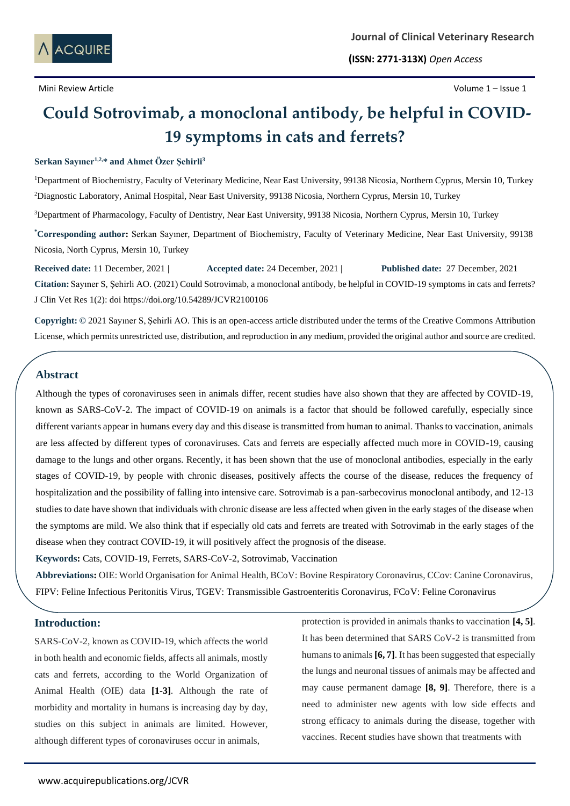

**(ISSN: 2771-313X)** *Open Access*

# **Could Sotrovimab, a monoclonal antibody, be helpful in COVID-19 symptoms in cats and ferrets?**

# **Serkan Sayıner1,2,\* and Ahmet Özer Şehirli<sup>3</sup>**

<sup>1</sup>Department of Biochemistry, Faculty of Veterinary Medicine, Near East University, 99138 Nicosia, Northern Cyprus, Mersin 10, Turkey <sup>2</sup>Diagnostic Laboratory, Animal Hospital, Near East University, 99138 Nicosia, Northern Cyprus, Mersin 10, Turkey <sup>3</sup>Department of Pharmacology, Faculty of Dentistry, Near East University, 99138 Nicosia, Northern Cyprus, Mersin 10, Turkey **\*Corresponding author:** Serkan Sayıner, Department of Biochemistry, Faculty of Veterinary Medicine, Near East University, 99138 Nicosia, North Cyprus, Mersin 10, Turkey

**Received date:** 11 December, 2021 | **Accepted date:** 24 December, 2021 | **Published date:** 27 December, 2021 **Citation:** Sayıner S, Şehirli AO. (2021) Could Sotrovimab, a monoclonal antibody, be helpful in COVID-19 symptoms in cats and ferrets? J Clin Vet Res 1(2): doi https://doi.org/10.54289/JCVR2100106

**Copyright: ©** 2021 Sayıner S, Şehirli AO. This is an open-access article distributed under the terms of the Creative Commons Attribution License, which permits unrestricted use, distribution, and reproduction in any medium, provided the original author and source are credited.

# **Abstract**

Although the types of coronaviruses seen in animals differ, recent studies have also shown that they are affected by COVID-19, known as SARS-CoV-2. The impact of COVID-19 on animals is a factor that should be followed carefully, especially since different variants appear in humans every day and this disease is transmitted from human to animal. Thanks to vaccination, animals are less affected by different types of coronaviruses. Cats and ferrets are especially affected much more in COVID-19, causing damage to the lungs and other organs. Recently, it has been shown that the use of monoclonal antibodies, especially in the early stages of COVID-19, by people with chronic diseases, positively affects the course of the disease, reduces the frequency of hospitalization and the possibility of falling into intensive care. Sotrovimab is a pan-sarbecovirus monoclonal antibody, and 12-13 studies to date have shown that individuals with chronic disease are less affected when given in the early stages of the disease when the symptoms are mild. We also think that if especially old cats and ferrets are treated with Sotrovimab in the early stages of the disease when they contract COVID-19, it will positively affect the prognosis of the disease.

**Keywords:** Cats, COVID-19, Ferrets, SARS-CoV-2, Sotrovimab, Vaccination

**Abbreviations:** OIE: World Organisation for Animal Health, BCoV: Bovine Respiratory Coronavirus, CCov: Canine Coronavirus, FIPV: Feline Infectious Peritonitis Virus, TGEV: Transmissible Gastroenteritis Coronavirus, FCoV: Feline Coronavirus

#### **Introduction:**

SARS-CoV-2, known as COVID-19, which affects the world in both health and economic fields, affects all animals, mostly cats and ferrets, according to the World Organization of Animal Health (OIE) data **[1-3]**. Although the rate of morbidity and mortality in humans is increasing day by day, studies on this subject in animals are limited. However, although different types of coronaviruses occur in animals,

protection is provided in animals thanks to vaccination **[4, 5]**. It has been determined that SARS CoV-2 is transmitted from humans to animals **[6, 7]**. It has been suggested that especially the lungs and neuronal tissues of animals may be affected and may cause permanent damage **[8, 9]**. Therefore, there is a need to administer new agents with low side effects and strong efficacy to animals during the disease, together with vaccines. Recent studies have shown that treatments with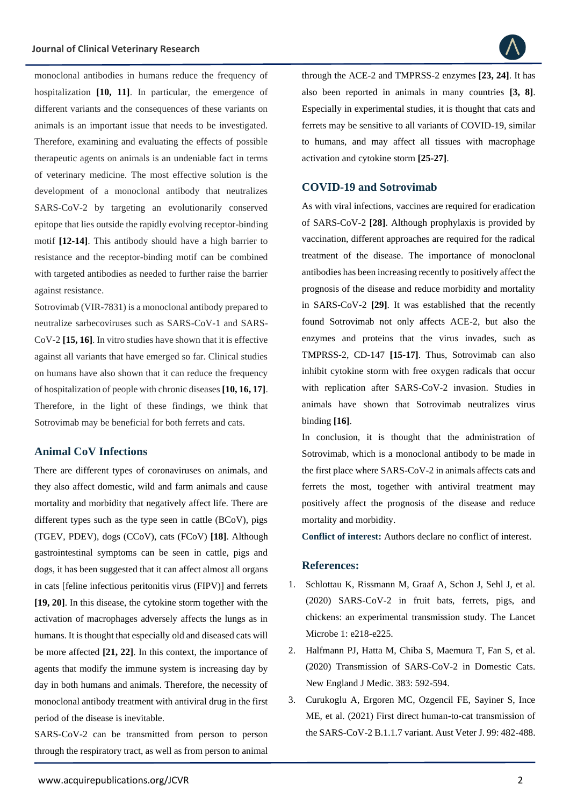monoclonal antibodies in humans reduce the frequency of hospitalization **[10, 11]**. In particular, the emergence of different variants and the consequences of these variants on animals is an important issue that needs to be investigated. Therefore, examining and evaluating the effects of possible therapeutic agents on animals is an undeniable fact in terms of veterinary medicine. The most effective solution is the development of a monoclonal antibody that neutralizes SARS-CoV-2 by targeting an evolutionarily conserved epitope that lies outside the rapidly evolving receptor-binding motif **[12-14]**. This antibody should have a high barrier to resistance and the receptor-binding motif can be combined with targeted antibodies as needed to further raise the barrier against resistance.

Sotrovimab (VIR-7831) is a monoclonal antibody prepared to neutralize sarbecoviruses such as SARS-CoV-1 and SARS-CoV-2 **[15, 16]**. In vitro studies have shown that it is effective against all variants that have emerged so far. Clinical studies on humans have also shown that it can reduce the frequency of hospitalization of people with chronic diseases **[10, 16, 17]**. Therefore, in the light of these findings, we think that Sotrovimab may be beneficial for both ferrets and cats.

## **Animal CoV Infections**

There are different types of coronaviruses on animals, and they also affect domestic, wild and farm animals and cause mortality and morbidity that negatively affect life. There are different types such as the type seen in cattle (BCoV), pigs (TGEV, PDEV), dogs (CCoV), cats (FCoV) **[18]**. Although gastrointestinal symptoms can be seen in cattle, pigs and dogs, it has been suggested that it can affect almost all organs in cats [feline infectious peritonitis virus (FIPV)] and ferrets **[19, 20]**. In this disease, the cytokine storm together with the activation of macrophages adversely affects the lungs as in humans. It is thought that especially old and diseased cats will be more affected **[21, 22]**. In this context, the importance of agents that modify the immune system is increasing day by day in both humans and animals. Therefore, the necessity of monoclonal antibody treatment with antiviral drug in the first period of the disease is inevitable.

SARS-CoV-2 can be transmitted from person to person through the respiratory tract, as well as from person to animal through the ACE-2 and TMPRSS-2 enzymes **[23, 24]**. It has also been reported in animals in many countries **[3, 8]**. Especially in experimental studies, it is thought that cats and ferrets may be sensitive to all variants of COVID-19, similar to humans, and may affect all tissues with macrophage activation and cytokine storm **[25-27]**.

### **COVID-19 and Sotrovimab**

As with viral infections, vaccines are required for eradication of SARS-CoV-2 **[28]**. Although prophylaxis is provided by vaccination, different approaches are required for the radical treatment of the disease. The importance of monoclonal antibodies has been increasing recently to positively affect the prognosis of the disease and reduce morbidity and mortality in SARS-CoV-2 **[29]**. It was established that the recently found Sotrovimab not only affects ACE-2, but also the enzymes and proteins that the virus invades, such as TMPRSS-2, CD-147 **[15-17]**. Thus, Sotrovimab can also inhibit cytokine storm with free oxygen radicals that occur with replication after SARS-CoV-2 invasion. Studies in animals have shown that Sotrovimab neutralizes virus binding **[16]**.

In conclusion, it is thought that the administration of Sotrovimab, which is a monoclonal antibody to be made in the first place where SARS-CoV-2 in animals affects cats and ferrets the most, together with antiviral treatment may positively affect the prognosis of the disease and reduce mortality and morbidity.

**Conflict of interest:** Authors declare no conflict of interest.

#### **References:**

- 1. [Schlottau K, Rissmann M, Graaf A, Schon J, Sehl J, et al.](https://www.thelancet.com/journals/lanmic/article/PIIS2666-5247(20)30089-6/fulltext)  [\(2020\) SARS-CoV-2 in fruit bats, ferrets, pigs, and](https://www.thelancet.com/journals/lanmic/article/PIIS2666-5247(20)30089-6/fulltext)  [chickens: an experimental transmission study. The Lancet](https://www.thelancet.com/journals/lanmic/article/PIIS2666-5247(20)30089-6/fulltext)  [Microbe 1: e218-e225.](https://www.thelancet.com/journals/lanmic/article/PIIS2666-5247(20)30089-6/fulltext)
- 2. [Halfmann PJ, Hatta M, Chiba S, Maemura T, Fan S, et al.](https://www.nejm.org/doi/full/10.1056/nejmc2013400)  [\(2020\) Transmission of SARS-CoV-2 in Domestic Cats.](https://www.nejm.org/doi/full/10.1056/nejmc2013400)  [New England J Medic. 383: 592-594.](https://www.nejm.org/doi/full/10.1056/nejmc2013400)
- 3. [Curukoglu A, Ergoren MC, Ozgencil FE, Sayiner S, Ince](https://pubmed.ncbi.nlm.nih.gov/34322866/)  [ME, et al. \(2021\) First direct human-to-cat transmission of](https://pubmed.ncbi.nlm.nih.gov/34322866/)  [the SARS-CoV-2 B.1.1.7 variant. Aust Veter J. 99: 482-488.](https://pubmed.ncbi.nlm.nih.gov/34322866/)

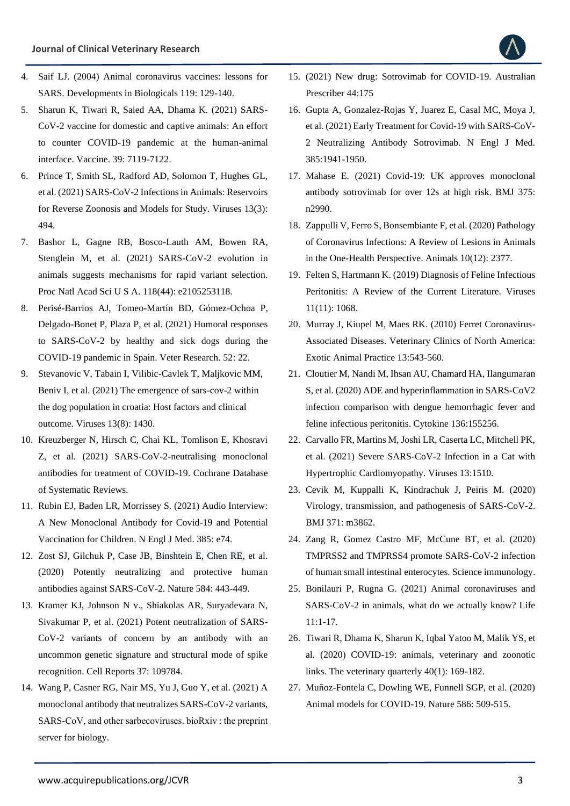

- 4. [Saif LJ. \(2004\) Animal coronavirus vaccines: lessons for](https://read.qxmd.com/read/15742624/animal-coronavirus-vaccines-lessons-for-sars)  [SARS. Developments in Biologicals 119: 129-140.](https://read.qxmd.com/read/15742624/animal-coronavirus-vaccines-lessons-for-sars)
- 5. [Sharun K, Tiwari R, Saied AA, Dhama K. \(2021\) SARS-](https://europepmc.org/article/pmc/pmc8570933)[CoV-2 vaccine for domestic and captive animals: An effort](https://europepmc.org/article/pmc/pmc8570933)  [to counter COVID-19 pandemic at the human-animal](https://europepmc.org/article/pmc/pmc8570933)  [interface. Vaccine. 39: 7119-7122.](https://europepmc.org/article/pmc/pmc8570933)
- 6. [Prince T, Smith SL, Radford AD, Solomon T, Hughes GL,](https://www.mdpi.com/1999-4915/13/3/494)  [et al. \(2021\) SARS-CoV-2 Infections in Animals: Reservoirs](https://www.mdpi.com/1999-4915/13/3/494)  [for Reverse Zoonosis and Models for Study. Viruses 13\(3\):](https://www.mdpi.com/1999-4915/13/3/494)  [494.](https://www.mdpi.com/1999-4915/13/3/494)
- 7. [Bashor L, Gagne RB, Bosco-Lauth AM, Bowen RA,](https://pubmed.ncbi.nlm.nih.gov/34716263/)  [Stenglein M, et al. \(2021\) SARS-CoV-2 evolution in](https://pubmed.ncbi.nlm.nih.gov/34716263/)  [animals suggests mechanisms for rapid variant selection.](https://pubmed.ncbi.nlm.nih.gov/34716263/)  [Proc Natl Acad Sci U S A. 118\(44\): e2105253118.](https://pubmed.ncbi.nlm.nih.gov/34716263/)
- 8. [Perisé-Barrios AJ, Tomeo-Martín BD, Gómez-Ochoa P,](https://veterinaryresearch.biomedcentral.com/articles/10.1186/s13567-021-00897-y)  [Delgado-Bonet P, Plaza P, et al. \(2021\) Humoral responses](https://veterinaryresearch.biomedcentral.com/articles/10.1186/s13567-021-00897-y)  [to SARS-CoV-2 by healthy and sick dogs during the](https://veterinaryresearch.biomedcentral.com/articles/10.1186/s13567-021-00897-y)  [COVID-19 pandemic in Spain. Veter Research. 52: 22.](https://veterinaryresearch.biomedcentral.com/articles/10.1186/s13567-021-00897-y)
- 9. [Stevanovic V, Tabain I, Vilibic-Cavlek T, Maljkovic MM,](https://www.mdpi.com/1999-4915/13/8/1430)  [Beniv I, et al. \(2021\) The emergence of sars-cov-2 within](https://www.mdpi.com/1999-4915/13/8/1430)  [the dog population in croatia: Host factors and clinical](https://www.mdpi.com/1999-4915/13/8/1430)  [outcome. Viruses 13\(8\): 1430.](https://www.mdpi.com/1999-4915/13/8/1430)
- 10. [Kreuzberger N, Hirsch C, Chai KL, Tomlison E, Khosravi](https://www.cochranelibrary.com/cdsr/doi/10.1002/14651858.CD013825.pub2/full)  [Z, et al. \(2021\) SARS-CoV-2-neutralising monoclonal](https://www.cochranelibrary.com/cdsr/doi/10.1002/14651858.CD013825.pub2/full)  [antibodies for treatment of COVID-19. Cochrane Database](https://www.cochranelibrary.com/cdsr/doi/10.1002/14651858.CD013825.pub2/full)  [of Systematic Reviews.](https://www.cochranelibrary.com/cdsr/doi/10.1002/14651858.CD013825.pub2/full)
- 11. [Rubin EJ, Baden LR, Morrissey S. \(2021\) Audio Interview:](https://pubmed.ncbi.nlm.nih.gov/33113304/)  [A New Monoclonal Antibody for Covid-19 and Potential](https://pubmed.ncbi.nlm.nih.gov/33113304/)  [Vaccination for Children. N Engl J Med. 385: e74.](https://pubmed.ncbi.nlm.nih.gov/33113304/)
- 12. [Zost SJ, Gilchuk P, Case JB, Binshtein E, Chen RE,](https://profiles.wustl.edu/en/publications/potently-neutralizing-and-protective-human-antibodies-against-sar) et al. [\(2020\) Potently neutralizing and protective human](https://profiles.wustl.edu/en/publications/potently-neutralizing-and-protective-human-antibodies-against-sar)  [antibodies against SARS-CoV-2. Nature 584: 443-449.](https://profiles.wustl.edu/en/publications/potently-neutralizing-and-protective-human-antibodies-against-sar)
- 13. [Kramer KJ, Johnson N v., Shiakolas AR, Suryadevara N,](https://www.sciencedirect.com/science/article/pii/S2211124721012432)  [Sivakumar P, et al. \(2021\) Potent neutralization of SARS-](https://www.sciencedirect.com/science/article/pii/S2211124721012432)[CoV-2 variants of concern by an antibody with an](https://www.sciencedirect.com/science/article/pii/S2211124721012432)  [uncommon genetic signature and structural mode of spike](https://www.sciencedirect.com/science/article/pii/S2211124721012432)  [recognition. Cell Reports 37: 109784.](https://www.sciencedirect.com/science/article/pii/S2211124721012432)
- 14. [Wang P, Casner RG, Nair MS, Yu J, Guo Y, et al. \(2021\) A](https://www.biorxiv.org/content/10.1101/2021.10.13.464307v1)  [monoclonal antibody that neutralizes SARS-CoV-2 variants,](https://www.biorxiv.org/content/10.1101/2021.10.13.464307v1)  [SARS-CoV, and other sarbecoviruses. bioRxiv : the preprint](https://www.biorxiv.org/content/10.1101/2021.10.13.464307v1)  [server for biology.](https://www.biorxiv.org/content/10.1101/2021.10.13.464307v1)
- 15. (2021) New drug: Sotrovimab for COVID-19. Australian Prescriber 44:175
- 16. [Gupta A, Gonzalez-Rojas Y, Juarez E, Casal MC, Moya J,](https://www.nejm.org/doi/10.1056/NEJMoa2107934)  [et al. \(2021\) Early Treatment for Covid-19 with SARS-CoV-](https://www.nejm.org/doi/10.1056/NEJMoa2107934)[2 Neutralizing Antibody Sotrovimab. N Engl J Med.](https://www.nejm.org/doi/10.1056/NEJMoa2107934)  [385:1941-1950.](https://www.nejm.org/doi/10.1056/NEJMoa2107934)
- 17. [Mahase E. \(2021\) Covid-19: UK approves monoclonal](https://www.bmj.com/content/375/bmj.n2990)  [antibody sotrovimab for over 12s at high risk. BMJ 375:](https://www.bmj.com/content/375/bmj.n2990)  [n2990.](https://www.bmj.com/content/375/bmj.n2990)
- 18. [Zappulli V, Ferro S, Bonsembiante F, et al. \(2020\) Pathology](https://pubmed.ncbi.nlm.nih.gov/33322366/)  [of Coronavirus Infections: A Review of Lesions in Animals](https://pubmed.ncbi.nlm.nih.gov/33322366/)  [in the One-Health Perspective. Animals 10\(12\): 2377.](https://pubmed.ncbi.nlm.nih.gov/33322366/)
- 19. [Felten S, Hartmann K. \(2019\) Diagnosis of Feline Infectious](https://pubmed.ncbi.nlm.nih.gov/31731711/)  [Peritonitis: A Review of the Current Literature. Viruses](https://pubmed.ncbi.nlm.nih.gov/31731711/) [11\(11\): 1068.](https://pubmed.ncbi.nlm.nih.gov/31731711/)
- 20. [Murray J, Kiupel M, Maes RK. \(2010\) Ferret Coronavirus-](https://www.ncbi.nlm.nih.gov/pmc/articles/PMC7110453/)[Associated Diseases. Veterinary Clinics of North America:](https://www.ncbi.nlm.nih.gov/pmc/articles/PMC7110453/)  [Exotic Animal Practice 13:543-560.](https://www.ncbi.nlm.nih.gov/pmc/articles/PMC7110453/)
- 21. [Cloutier M, Nandi M, Ihsan AU, Chamard HA, Ilangumaran](https://pubmed.ncbi.nlm.nih.gov/32866898/)  [S, et al. \(2020\) ADE and hyperinflammation in SARS-CoV2](https://pubmed.ncbi.nlm.nih.gov/32866898/)  [infection comparison with dengue hemorrhagic fever and](https://pubmed.ncbi.nlm.nih.gov/32866898/)  [feline infectious peritonitis. Cytokine 136:155256.](https://pubmed.ncbi.nlm.nih.gov/32866898/)
- 22. [Carvallo FR, Martins M, Joshi LR, Caserta LC, Mitchell PK,](https://pubmed.ncbi.nlm.nih.gov/34452375/)  [et al. \(2021\) Severe SARS-CoV-2 Infection in a Cat with](https://pubmed.ncbi.nlm.nih.gov/34452375/)  [Hypertrophic Cardiomyopathy. Viruses 13:1510.](https://pubmed.ncbi.nlm.nih.gov/34452375/)
- 23. [Cevik M, Kuppalli K, Kindrachuk J, Peiris M. \(2020\)](https://www.bmj.com/content/371/bmj.m3862)  [Virology, transmission, and pathogenesis of SARS-CoV-2.](https://www.bmj.com/content/371/bmj.m3862)  [BMJ 371: m3862.](https://www.bmj.com/content/371/bmj.m3862)
- 24. [Zang R, Gomez Castro MF, McCune BT, et al. \(2020\)](https://www.science.org/doi/10.1126/sciimmunol.abc3582)  [TMPRSS2 and TMPRSS4 promote SARS-CoV-2 infection](https://www.science.org/doi/10.1126/sciimmunol.abc3582)  of human small intestinal [enterocytes. Science immunology.](https://www.science.org/doi/10.1126/sciimmunol.abc3582)
- 25. [Bonilauri P, Rugna G. \(2021\) Animal coronaviruses and](https://pubmed.ncbi.nlm.nih.gov/33562645/)  [SARS-CoV-2 in animals, what do we actually know? Life](https://pubmed.ncbi.nlm.nih.gov/33562645/)  [11:1-17.](https://pubmed.ncbi.nlm.nih.gov/33562645/)
- 26. [Tiwari R, Dhama K, Sharun K, Iqbal Yatoo M, Malik YS, et](https://pubmed.ncbi.nlm.nih.gov/32393111/)  [al. \(2020\) COVID-19: animals, veterinary and zoonotic](https://pubmed.ncbi.nlm.nih.gov/32393111/)  [links. The veterinary quarterly 40\(1\): 169-182.](https://pubmed.ncbi.nlm.nih.gov/32393111/)
- 27. [Muñoz-Fontela C, Dowling WE, Funnell SGP, et al. \(2020\)](https://www.nature.com/articles/s41586-020-2787-6)  [Animal models for COVID-19.](https://www.nature.com/articles/s41586-020-2787-6) Nature 586: 509-515.